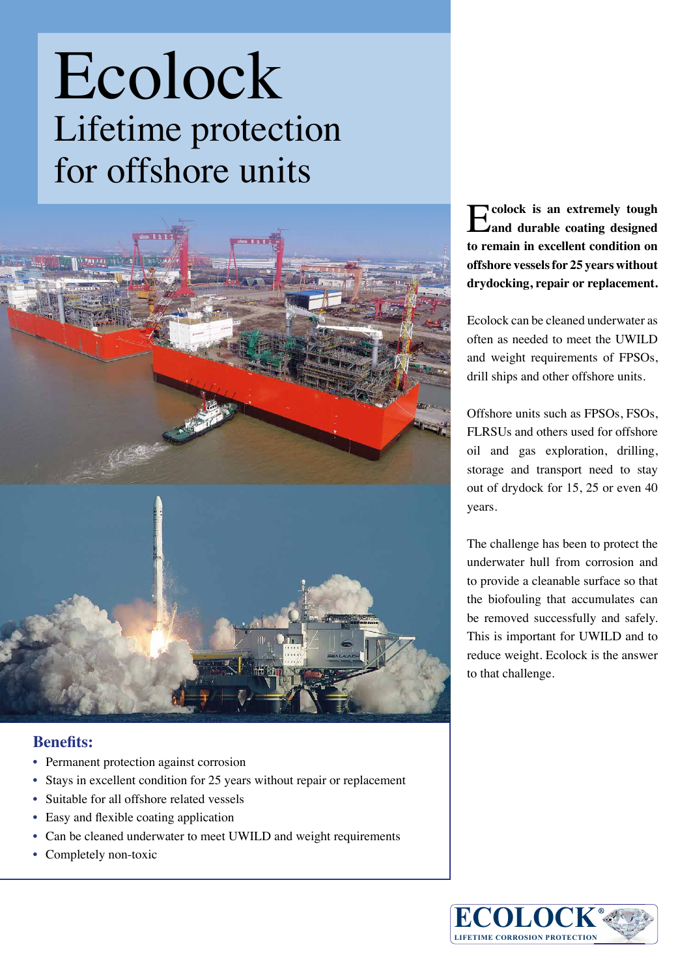## Ecolock Lifetime protection for offshore units



## **Benefits:**

- Permanent protection against corrosion
- Stays in excellent condition for 25 years without repair or replacement
- Suitable for all offshore related vessels
- Easy and flexible coating application
- Can be cleaned underwater to meet UWILD and weight requirements
- Completely non-toxic

E**colock is an extremely tough and durable coating designed to remain in excellent condition on offshore vessels for 25 years without drydocking, repair or replacement.** 

Ecolock can be cleaned underwater as often as needed to meet the UWILD and weight requirements of FPSOs, drill ships and other offshore units.

Offshore units such as FPSOs, FSOs, FLRSUs and others used for offshore oil and gas exploration, drilling, storage and transport need to stay out of drydock for 15, 25 or even 40 years.

The challenge has been to protect the underwater hull from corrosion and to provide a cleanable surface so that the biofouling that accumulates can be removed successfully and safely. This is important for UWILD and to reduce weight. Ecolock is the answer to that challenge.